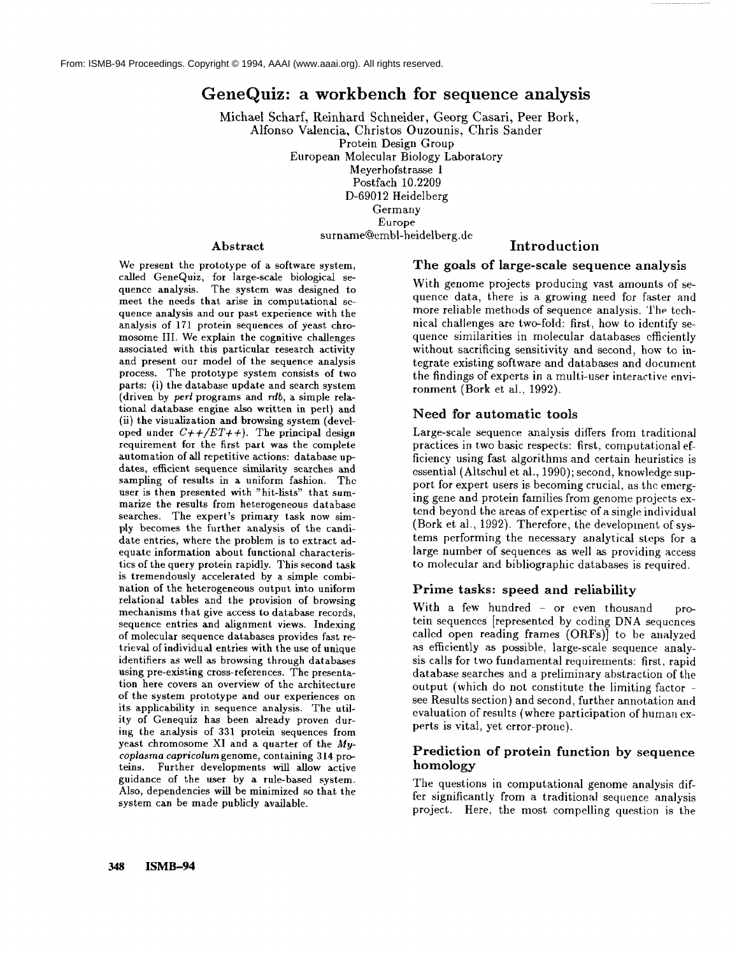# **GeneQuiz: a workbench for sequence analysis**

Michael Scharf, Reinhard Schneider, Georg Casari, Peer Bork, Alfonso Valencia, Christos Ouzounis, Chris Sander Protein Design Group European Molecular Biology Laboratory Meyerhofstrasse 1 Postfach 10.2209 D-69012 Heidelberg Germany Europe surname@embl-heidelberg.de **Introduction**

#### Abstract

We present the prototype of a software system, called GeneQuiz, for large-scale biological sequence analysis. The system was designed to meet the needs that arise in computational sequence analysis and our past experience with the analysis of 171 protein sequences of yeast chromosome III. We explain the cognitive challenges associated with this particular research activity and present our model of the sequence analysis process. The prototype system consists of two parts: (i) the database update and search system (driven by *perl* programs and rdb, a simple relational database engine also written in perl) and (ii) the visualization and browsing system (developed under  $C++/ET++$ ). The principal design requirement for the first paxt was the complete automation of all repetitive actions: database updates, efficient sequence similarity searches and sampling of results in a uniform fashion. Thc user is then presented with "hit-lists" that summarize the results from heterogeneous database searches. The expert's primary task now simply becomes the further analysis of the candidate entries, where the problem is to extract adequate information about functional characteristics of the query protein rapidly. This second task is tremendously accelerated by a simple combination of the heterogeneous output into uniform relational tables and the provision of browsing mechanisms that give access to database records, sequence entries and alignment views. Indexing of molecular sequence databases provides fast retrieval of individual entries with the use of unique identifiers as well as browsing through databases using pre-existing cross-references. The presentation here covers an overview of the architecture of the system prototype and our experiences on its applicability in sequence analysis. The utility of Genequiz has been already proven during the analysis of 331 protein sequences from yeast chromosome XI and a quarter of the *Mycoplasma capricolum* genome, containing 314 proteins. Further developments will allow active guidance of the user by a rule-based system. Also, dependencies will be minimized so that the system can be made publicly available.

#### The goals of large-scale sequence analysis

With genome projects producing vast amounts of sequence data, there is a growing need for faster and more reliable methods of sequence analysis. The technical challenges are two-fold: first., how to identify sequence similarities in molecular databases efficiently without sacrificing sensitivity and second, how to integrate existing software and databases and document the findings of experts in a multi-user interactive environment (Bork et al., 1992).

#### Need for automatic tools

Large-scale sequence analysis differs from traditional practices in two basic respects: first, computational efficiency using fast algorithms and certain heuristics is essential (Altschul et al., 1990); second, knowledge support for expert users is becoming crucial, as the emerging gene and protein families from genome projects extend beyond the areas of expertise of a single individual (Bork et al., 1992). Therefore, the development of systems performing the necessary analytical steps for a large number of sequences as well as providing access to molecular and bibliographic databases is required.

#### Prime tasks: speed and reliability

With a few hundred - or even thousand protein sequences [represented by coding DNA sequcnces called open reading frames (ORFs)] to he analyzed as efficiently as possible, large-scale sequence analysis calls for two fundamental requirements: first, rapid database searches and a preliminary abstraction of the output (which do not constitute the limiting factor see Results section) and second, further annotation and evaluation of results (where participation of human experts is vital, yet error-prone).

#### Prediction of protein function by sequence homology

The questions in computational genome analysis differ significantly from a traditional sequence analysis project. Here, the most compelling question is the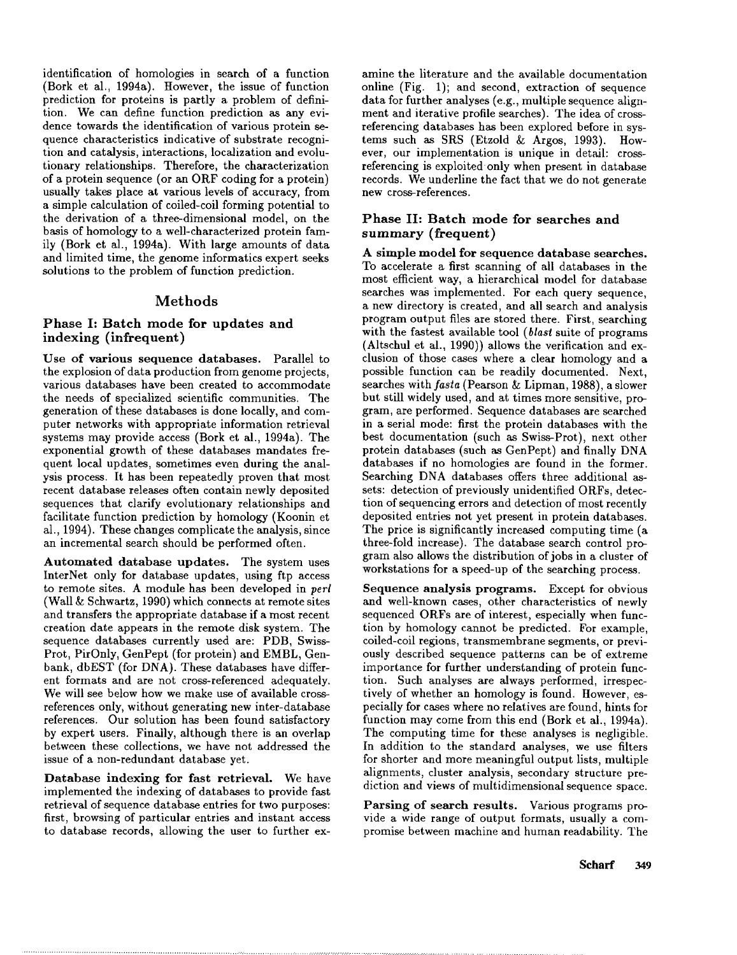identification of homologies in search of a function (Bork et al., 1994a). However, the issue of function prediction for proteins is partly a problem of definition. We can define function prediction as any evidence towards the identification of various protein sequence characteristics indicative of substrate recognition and catalysis, interactions, localization and evolutionary relationships. Therefore, the characterization of a protein sequence (or an ORF coding for a protein) usually takes place at various levels of accuracy, from a simple calculation of coiled-coil forming potential to the derivation of a three-dimensional model, on the basis of homology to a well-characterized protein family (Bork et al., 1994a). With large amounts of data and limited time, the genome informatics expert seeks solutions to the problem of function prediction.

#### Methods

### **Phase I: Batch mode** for updates **and** indexing (infrequent)

**Use** of various **sequence databases.** Parallel to the explosion of data production from genome projects, various databases have been created to accommodate the needs of specialized scientific communities. The generation of these databases is done locally, and computer networks with appropriate information retrieval systems may provide access (Bork et al., 1994a). The exponential growth of these databases mandates frequent local updates, sometimes even during the analysis process. It has been repeatedly proven that most recent database releases often contain newly deposited sequences that clarify evolutionary relationships and facilitate function prediction by homology (Koonin et al., 1994). These changes complicate the analysis, since an incremental search should be performed often.

Automated database updates. The system uses InterNet only for database updates, using ftp access to remote sites. A module has been developed in *perl* (Wall &: Schwartz, 1990) which connects at remote sites and transfers the appropriate database if a most recent creation date appears in the remote disk system. The sequence databases currently used are: PDB, Swiss-Prot, PirOnly, GenPept (for protein) and EMBL, Genbank, dbEST (for DNA). These databases have different formats and are not cross-referenced adequately. We will see below how we make use of available crossreferences only, without generating new inter-database references. Our solution has been found satisfactory by expert users. Finally, although there is an overlap between these collections, we have not addressed the issue of a non-redundant database yet.

Database indexing for fast retrieval. We have implemented the indexing of databases to provide fast retrieval of sequence database entries for two purposes: first, browsing of particular entries and instant access to database records, allowing the user to further examine the literature and the available documentation online (Fig. 1); and second, extraction of sequence data for further analyses (e.g., multiple sequence alignment and iterative profile searches). The idea of crossreferencing databases has been explored before in systems such as SRS (Etzold & Argos, 1993). However, our implementation is unique in detail: crossreferencing is exploited only when present in database records. We underline the fact that we do not generate new cross-references.

# **Phase II: Batch** mode for searches and summary (frequent)

**A simple model for sequence database searches.** To accelerate a first scanning of all databases in the most efficient way, a hierarchical model for database searches was implemented. For each query sequence, a new directory is created, and all search and analysis program output files are stored there. First, searching with the fastest available tool *(blast* suite of programs (Altschul et al., 1990)) allows the verification and exclusion of those cases where a clear homology and a possible function can be readily documented. Next, searches with *fasta* (Pearson & Lipman, 1988), a slower but still widely used, and at times more sensitive, program, are performed. Sequence databases are searched in a serial mode: first the protein databases with **the** best documentation (such as Swiss-Prot), next other protein databases (such as GenPept) and finally DNA databases if no homologies are found in the former. Searching DNA databases offers three additional assets: detection of previously unidentified ORFs, detection of sequencing errors and detection of most recently deposited entries not yet present in protein databases. The price is significantly increased computing time (a three-fold increase). The database search control program also allows the distribution of jobs in a cluster of workstations for a speed-up of the searching process.

**Sequence** analysis programs. Except for obvious and well-known cases, other characteristics of newly sequenced ORFs are of interest, especially when function by homology cannot be predicted. For example, coiled-coil regions, transmembrane segments, or previously described sequence patterns can be of extreme importance for further understanding of protein function. Such analyses are always performed, irrespectively of whether an homology is found. However, especially for cases where no relatives are found, hints for function may come from this end (Bork et al.,  $1994a$ ). The computing time for these analyses is negligible. In addition to the standard analyses, we use filters for shorter and more meaningful output lists, multiple alignments, cluster analysis, secondary structure prediction and views of multidimensional sequence space.

Parsing of search results. Various programs provide a wide range of output formats, usually a compromise between machine and human readability. The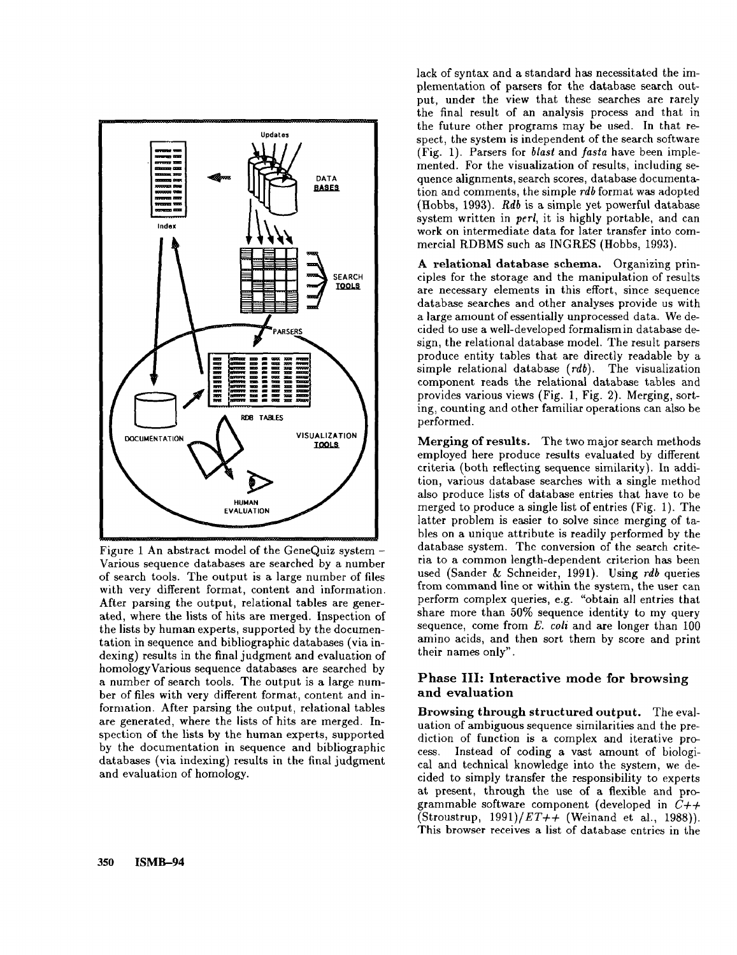

Figure 1 An abstract model of the GeneQuiz system - Various sequence databases are searched by a number of search tools. The output is a large number of files with very different format, content and information. After parsing the output, relational tables are generated, where the lists of hits are merged. Inspection of the lists by human experts, supported by the documentation in sequence and bibliographic databases (via indexing) results in the final judgment and evaluation of homologyVarious sequence databases are searched by a number of search tools. The output is a large number of files with very different format, content and information. After parsing the output, relational tables are generated, where the lists of hits are merged. Inspection of the lists by the human experts, supported by the documentation in sequence and bibliographic databases (via indexing) results in the final judgment and evaluation of homology.

lack of syntax and a standard has necessitated the implementation of parsers for the database search output, under the view that these searches are rarely the final result of an analysis process and that in the future other programs may be used. In that respect, the system is independent of the search software (Fig. 1). Parsers for *blast* and *fasta* have been implemented. For the visualization of results, including sequence alignments, search scores, database documentation and comments, the simple *rdb* format was adopted (Hobbs, 1993). *Rdb* is a simple yet powerful database system written in *perl,* it is highly portable, and can work on intermediate data for later transfer into commercial RDBMS such as INGRES (Hobbs, 1993).

A relational database schema. Organizing principles for the storage and the manipulation of results are necessary elements in this effort, since sequence database searches and other analyses provide us with a large amount of essentially unprocessed data. We decided to use a well-developed formalism in database design, the relational database model. The result parsers produce entity tables that are directly readable by a simple relational database (rdb). The visualization component reads the relational database tables and provides various views (Fig. 1, Fig. 2). Merging, sorting, counting and other familiar operations can also be performed.

Merging of results, The two major search methods employed here produce results evaluated by different criteria (both reflecting sequence similarity). In addition, various database searches with a single method also produce lists of database entries that have to be merged to produce a single list of entries (Fig. 1). The latter problem is easier to solve since merging of tables on a unique attribute is readily performed by the database system. The conversion of the search criteria to a common length-dependent criterion has been used (Sander & Schneider, 1991). Using *rdb* queries from command line or within the system, the user can perform complex queries, e.g. "obtain all entries that share more than 50% sequence identity to my query sequence, come from *E. coli* and are longer than i00 amino acids, and then sort them by score and print their names only".

### Phase III: Interactive mode for browsing **and** evaluation

Browsing through structured output. The evaluation of ambiguous sequence similarities and the prediction of function is a complex and iterative process. Instead of coding a vast amount of biological and technical knowledge into the system, we decided to simply transfer the responsibility to experts at present, through the use of a flexible and programmable software component (developed in *C++* (Stroustrup, *1991)/ET++* (Weinand et al., 1988)). This browser receives a list of database entries in the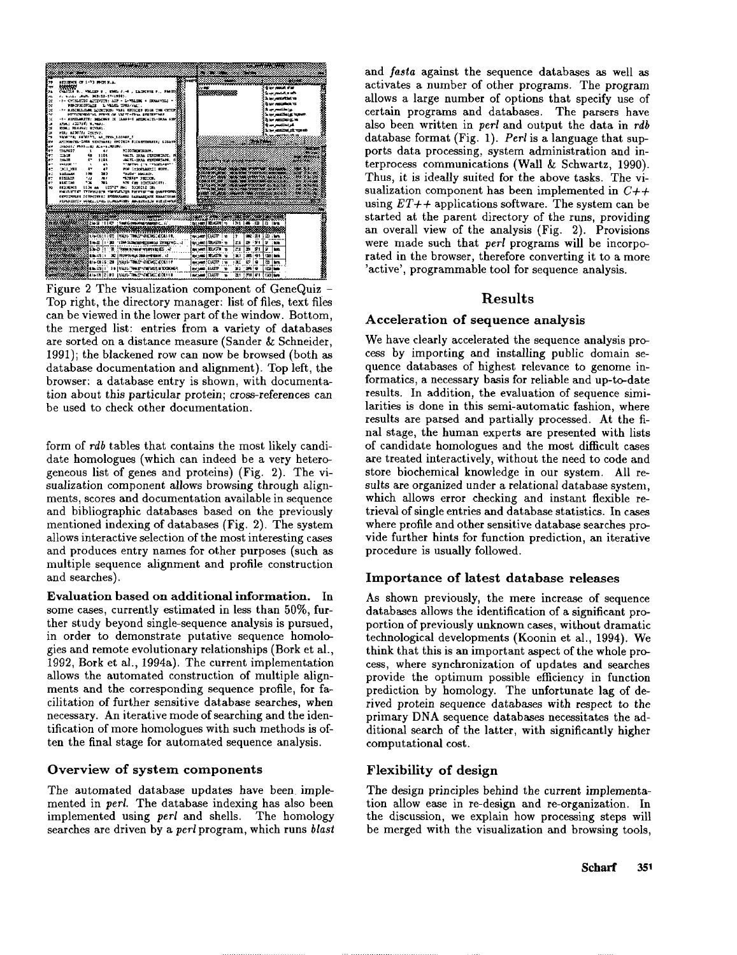

Figure 2 The visualization component of GeneQuiz - Top right, the directory manager: list of files, text files can be viewed in the lower part of the window. Bottom, the merged list: entries from a variety of databases are sorted on a distance measure (Sander & Schneider, 1991); the blackened row can now be browsed (both as database documentation and alignment). Top left, the browser: a database entry is shown, with documentation about this particular protein; cross-references can be used to check other documentation.

form of *rdb* tables that contains the most likely candidate homologues (which can indeed be a very heterogeneous list of genes and proteins) (Fig. 2). The sualization component allows browsing through alignments, scores and documentation available in sequence and bibliographic databases based on the previously mentioned indexing of databases (Fig. 2). The system allows interactive selection of the most interesting cases and produces entry names for other purposes (such as multiple sequence alignment and profile construction and searches).

Evaluation based on additional information. In some cases, currently estimated in less than 50%, further study beyond single-sequence analysis is pursued, in order to demonstrate putative sequence homologies and remote evolutionary relationships (Bork et al., 1992, Bork et al., 1994a). The current implementation allows the automated construction of multiple alignments and the corresponding sequence profile, for facilitation of further sensitive database searches, when necessary. An iterative mode of searching and the identification of more homologues with such methods is often the final stage for automated sequence analysis.

#### Overview of **system components**

The automated database updates have been implemented in *perl.* The database indexing has also been implemented using *perl* and shells. The homology searches are driven by a *perl* program, which runs *blast*

and *fasta* against the sequence databases as well as activates a number of other programs. The program allows a large number of options that specify use of certain programs and databases. The parsers have also been written in *perl* and output the data in *rdb* database format (Fig. 1). *Perl* is a language that supports data processing, system administration and interprocess communications (Wall & Schwartz, 1990). Thus, it is ideally suited for the above tasks. The visualization component has been implemented in *C++* using  $ET++$  applications software. The system can be started at the parent directory of the runs, providing an overall view of the analysis (Fig. 2). Provisions were made such that *perl* programs will be incorporated in the browser, therefore converting it to a more 'active', programmable tool for sequence analysis.

# Results

#### **Acceleration of sequence analysis**

We have clearly accelerated the sequence analysis process by importing and installing public domain sequence databases of highest relevance to genome informatics, a necessary basis for reliable and up-to-date results. In addition, the evaluation of sequence similarities is done in this semi-automatic fashion, where results are parsed and partially processed. At the final stage, the human experts are presented with lists of candidate homologues and the most difficult cases are treated interactively, without the need to code and store biochemical knowledge in our system. All results are organized under a relational database system, which allows error checking and instant flexible retrieval of single entries and database statistics. In cases where profile and other sensitive database searches provide further hints for function prediction, an iterative procedure is usually followed.

### **Importance of latest database releases**

As shown previously, the mere increase of sequence databases allows the identification of a significant proportion of previously unknown cases, without dramatic technological developments (Koonin et al., 1994). think that this is an important aspect of the whole process, where synchronization of updates and searches provide the optimum possible efficiency in function prediction by homology. The unfortunate lag of derived protein sequence databases with respect to the primary DNA sequence databases necessitates the additional search of the latter, with significantly higher computational cost.

### Flexibility of **design**

The design principles behind the current implementation allow ease in re-design and re-organization. In the discussion, we explain how processing steps will be merged with the visualization and browsing tools,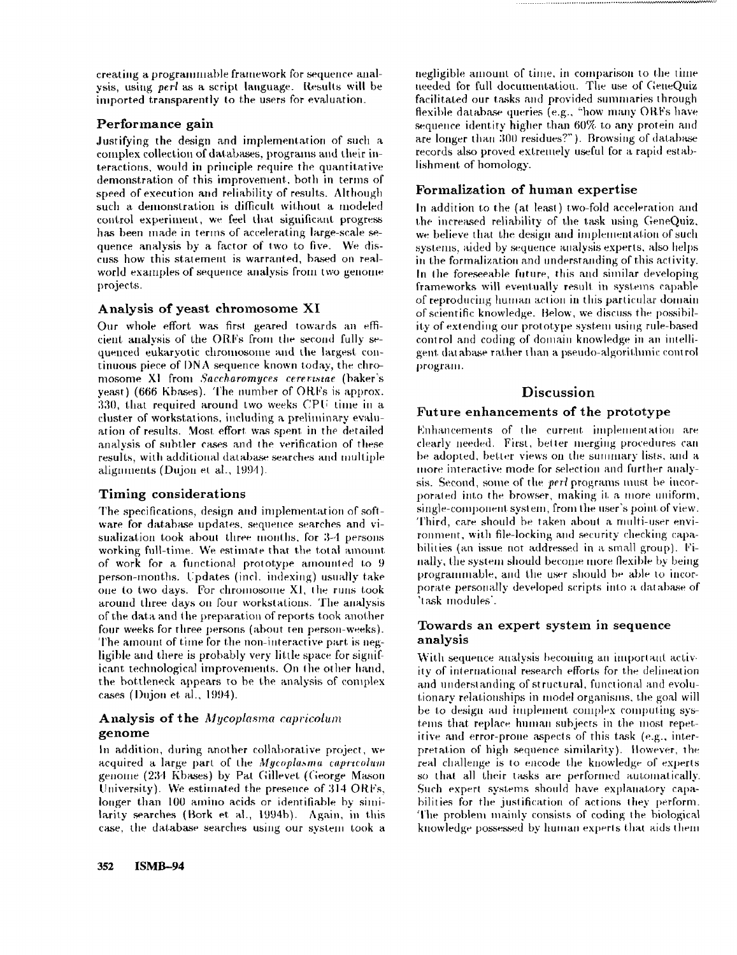creating a programmable framework for sequence analysis, using *perl "as a* script language. Results will be imported transparently to the users for evaluation.

### **Performance gain**

Justifying the design and implementation of such a complex collection of databases, programs and their interactions, would in priuciple require the quantitative demonstration of this improvement, both in terms of speed of execution and reliability of results. Although such a demonstration is difficult without a modeled control experiment, we feel that significant progress has been made in terms of accelerating large-scale sequence analysis by a factor of two to five. We discuss how this statement is warranted, based on realworld examples of sequence analysis from two genome projects.

# **Analysis of yeast chromosome** XI

Our whole effort was first geared towards an efficient analysis of the ORFs from the second fully sequenced eukaryotic chromosome and the largest continuous piece of I)NA sequence known *today,* the chromosome XI from *Sacchavomyces ceret:t.sme* (baker's yeast) (666 Kbases). The number of ORFs is approx. 330, that required around two weeks CPU time in a cluster of workstations, including a preliminary evaluation of results. Most effort was spent in the detailed analysis of subtler cases and the verification of these results, with additional database searches and multiple alignments (Dujon et al., 1994).

### **Timing considerations**

The specifications, design and implementation of software for database updates, sequence searches and visualization took about three months, for 3-4 persons working full-time. We estimate that the total amount. of work for a functional prototype amounted to  $9$ person-months. Updates (incl. indexing) usually take one to two days. For chromosotue XI, the runs took around three days on four workstations. The analysis of the data and the preparation of reports took another four weeks for three persons (about ten person-weeks). The amount of time for the non-interactive part is negligible and there is probably very little space for siguificant technological improvements. On the other hand, the bottleneck appears to be the analysis of complex cases (I)ujou et al., 1994).

# Analysis of the *Mycoplasma capricolum* **genome**

In addition, during another collaborative project, we acquired a large part of the *Mycoplasma capricolum* genome (234 Kbases) by Pat Gillevet (George Mason University). We estimated the presence of  $314$  ORFs, longer than 100 amino acids or identifiable by similarity searches (Bork et al., 1994b). Again, in this case, the database searches using our system took a negligible amount of time, in comparison to the time needed for full documentation. The use of GeneQuiz facilitated our tasks and provided summaries through flexible database queries (e.g., "how many ORFs have sequence identity higher than 60% to any protein and are longer than 300 residues?"). Browsing of database records also proved extremely useful for a rapid establishment of homology.

# **Formalization of human expertise**

In addition to the (at least) two-fold acceleration and the increased reliability of the task using GeneQuiz, we believe that the design and implementation of such systems, aided by sequence analysis experts, also helps in the formalization and understanding of this activity. In the foreseeable future, this and similar developing frameworks will eventually result in systems capable of reproducing humau action in this particular domain of scientific knowledge. Below, we discuss the possibility of extending our prototype system using rule-based control and coding of domain knowledge in an intelligent dat abase rather than a pseudo-algorithmic control program.

# **Discussion**

# **Future enhancements of the prototype**

Enhancements of the current implementation are clearly needed. First, better merging procedures can be adopted, better views on the summary lists, and a more interactive mode for selection and further analysis. Second, some of the *perl* programs must be interporated into the browser, making it a more uniform, single-component system, from the user's point of view. Third, care should be taken about a multi-user environment, with file-locking amt security checking capabilities (an issue not addressed in a srnall group). Finally, the system should become more flexible by being programmable, and the user should be able to incorporate personally developed scripts into a database of 'task modules'.

# **Towards an expert system in sequence analysis**

With sequence analysis becoming an important activity of international research efforts for the delineation and understanding of structural, functional and evolutionary relationships in model organisms, the goal will be to design and implement complex computing systems that replace human subjects in the most repetitive and error-proue aspects of this task (e.g., interpretation of high sequence similarity), tlowever, the real challenge is to eacode the knowledge of experts so that all their tasks are performed automatically. Such expert systems should have explanatory capabilities for the justification of actions they perform. The problem mainly consists of coding the biological knowledge possessed by human experts that aids them